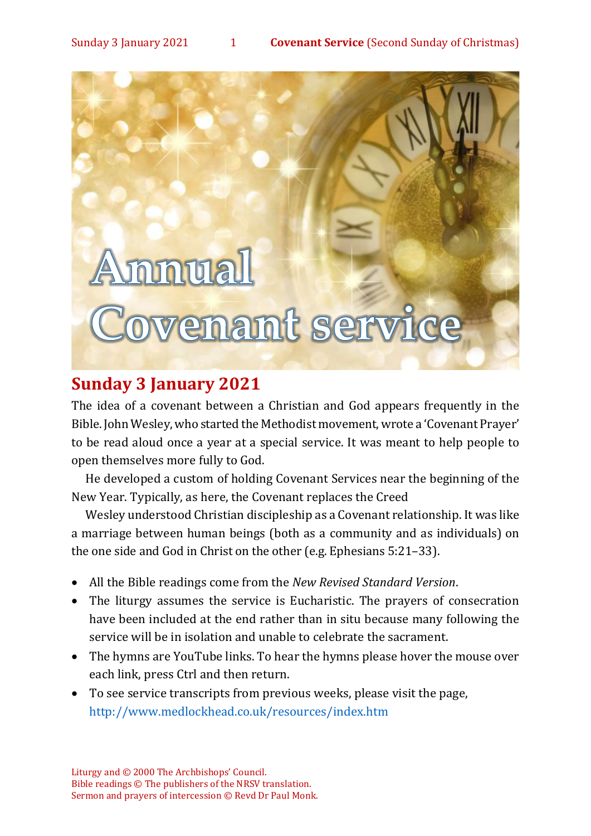# mua emamt serv

# **Sunday 3 January 2021**

The idea of a covenant between a Christian and God appears frequently in the Bible. John Wesley, who started the Methodist movement, wrote a 'Covenant Prayer' to be read aloud once a year at a special service. It was meant to help people to open themselves more fully to God.

He developed a custom of holding Covenant Services near the beginning of the New Year. Typically, as here, the Covenant replaces the Creed

Wesley understood Christian discipleship as a Covenant relationship. It was like a marriage between human beings (both as a community and as individuals) on the one side and God in Christ on the other (e.g. Ephesians 5:21–33).

- All the Bible readings come from the *New Revised Standard Version*.
- The liturgy assumes the service is Eucharistic. The prayers of consecration have been included at the end rather than in situ because many following the service will be in isolation and unable to celebrate the sacrament.
- The hymns are YouTube links. To hear the hymns please hover the mouse over each link, press Ctrl and then return.
- To see service transcripts from previous weeks, please visit the page, <http://www.medlockhead.co.uk/resources/index.htm>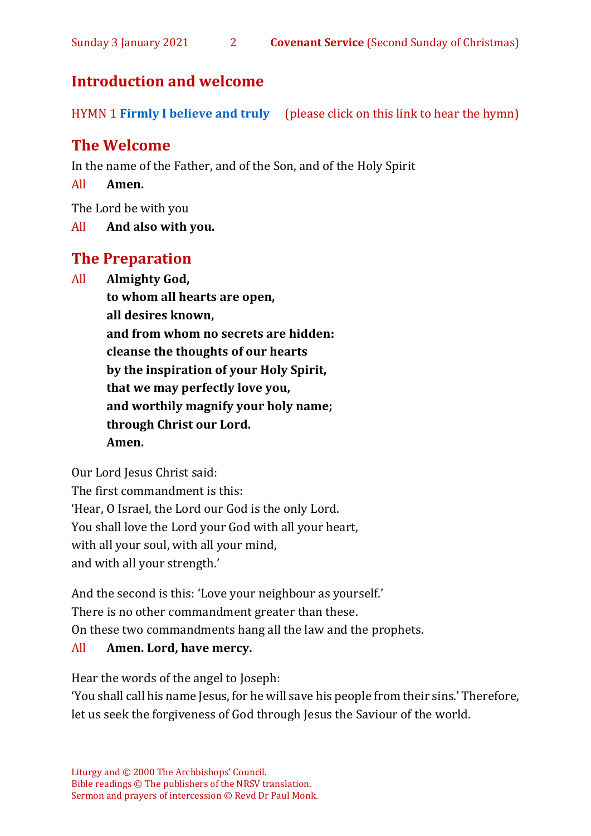### **Introduction and welcome**

HYMN 1 **Firmly I [believe](https://www.youtube.com/watch?v=TW0E8GWkPDU) and truly** (please click on this link to hear the hymn)

### **The Welcome**

In the name of the Father, and of the Son, and of the Holy Spirit

All **Amen.**

The Lord be with you

All **And also with you.**

### **The Preparation**

All **Almighty God,**

**to whom all hearts are open, all desires known, and from whom no secrets are hidden: cleanse the thoughts of our hearts by the inspiration of your Holy Spirit, that we may perfectly love you, and worthily magnify your holy name; through Christ our Lord. Amen.**

Our Lord Jesus Christ said:

The first commandment is this: 'Hear, O Israel, the Lord our God is the only Lord. You shall love the Lord your God with all your heart, with all your soul, with all your mind, and with all your strength.'

And the second is this: 'Love your neighbour as yourself.' There is no other commandment greater than these. On these two commandments hang all the law and the prophets.

### All **Amen. Lord, have mercy.**

Hear the words of the angel to Joseph:

'You shall call his name Jesus, for he will save his people from their sins.' Therefore, let us seek the forgiveness of God through Jesus the Saviour of the world.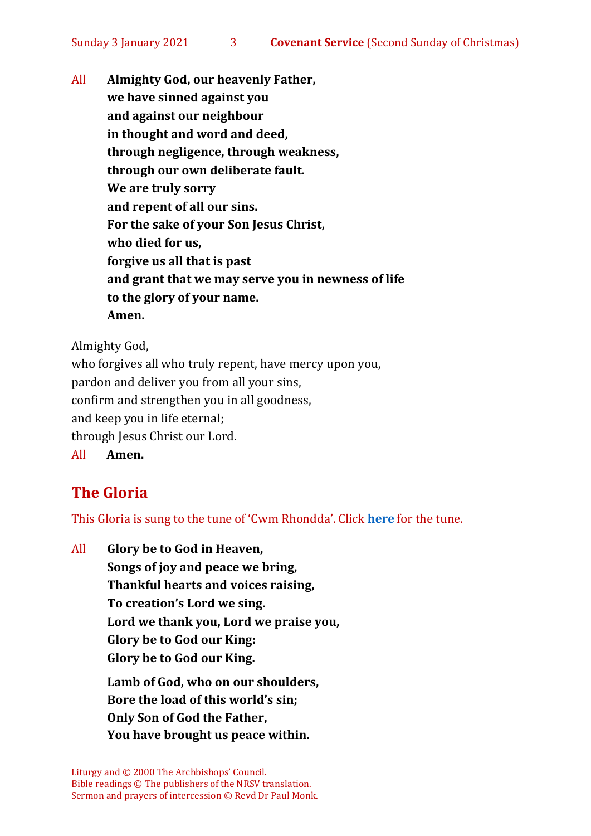All **Almighty God, our heavenly Father, we have sinned against you and against our neighbour in thought and word and deed, through negligence, through weakness, through our own deliberate fault. We are truly sorry and repent of all our sins. For the sake of your Son Jesus Christ, who died for us, forgive us all that is past and grant that we may serve you in newness of life to the glory of your name. Amen.**

Almighty God,

who forgives all who truly repent, have mercy upon you, pardon and deliver you from all your sins, confirm and strengthen you in all goodness, and keep you in life eternal; through Jesus Christ our Lord. All **Amen.**

# **The Gloria**

This Gloria is sung to the tune of 'Cwm Rhondda'. Click **[here](about:blank)** for the tune.

All **Glory be to God in Heaven, Songs of joy and peace we bring, Thankful hearts and voices raising, To creation's Lord we sing. Lord we thank you, Lord we praise you, Glory be to God our King: Glory be to God our King. Lamb of God, who on our shoulders, Bore the load of this world's sin; Only Son of God the Father, You have brought us peace within.**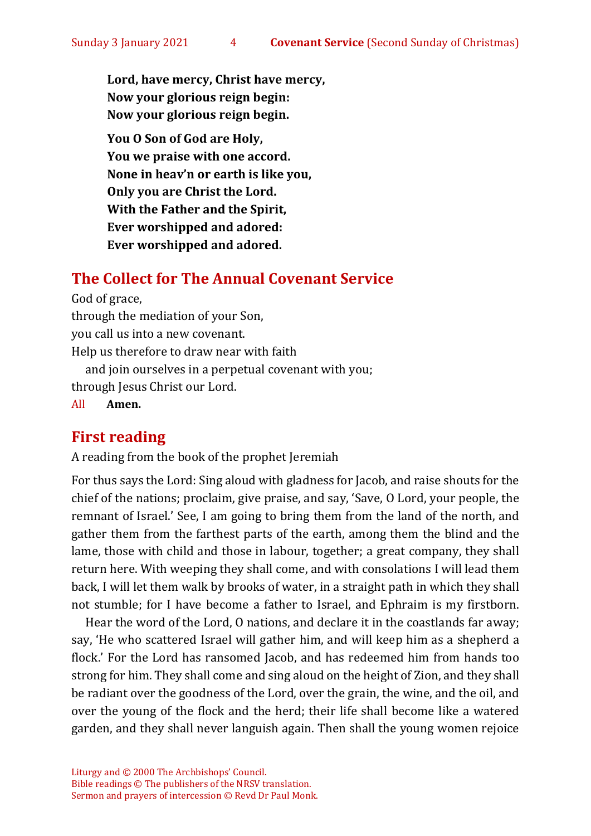**Lord, have mercy, Christ have mercy, Now your glorious reign begin: Now your glorious reign begin.**

**You O Son of God are Holy, You we praise with one accord. None in heav'n or earth is like you, Only you are Christ the Lord. With the Father and the Spirit, Ever worshipped and adored: Ever worshipped and adored.**

### **The Collect for The Annual Covenant Service**

God of grace, through the mediation of your Son, you call us into a new covenant. Help us therefore to draw near with faith and join ourselves in a perpetual covenant with you; through Jesus Christ our Lord. All **Amen.**

### **First reading**

A reading from the book of the prophet Jeremiah

For thus says the Lord: Sing aloud with gladness for Jacob, and raise shouts for the chief of the nations; proclaim, give praise, and say, 'Save, O Lord, your people, the remnant of Israel.' See, I am going to bring them from the land of the north, and gather them from the farthest parts of the earth, among them the blind and the lame, those with child and those in labour, together; a great company, they shall return here. With weeping they shall come, and with consolations I will lead them back, I will let them walk by brooks of water, in a straight path in which they shall not stumble; for I have become a father to Israel, and Ephraim is my firstborn.

Hear the word of the Lord, O nations, and declare it in the coastlands far away; say, 'He who scattered Israel will gather him, and will keep him as a shepherd a flock.' For the Lord has ransomed Jacob, and has redeemed him from hands too strong for him. They shall come and sing aloud on the height of Zion, and they shall be radiant over the goodness of the Lord, over the grain, the wine, and the oil, and over the young of the flock and the herd; their life shall become like a watered garden, and they shall never languish again. Then shall the young women rejoice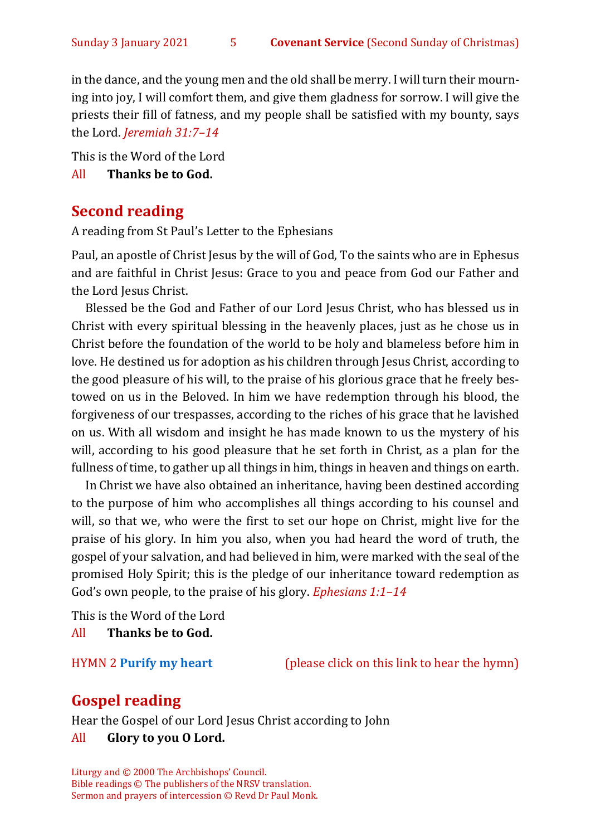in the dance, and the young men and the old shall be merry. I will turn their mourning into joy, I will comfort them, and give them gladness for sorrow. I will give the priests their fill of fatness, and my people shall be satisfied with my bounty, says the Lord. *Jeremiah 31:7–14*

This is the Word of the Lord

All **Thanks be to God.**

### **Second reading**

A reading from St Paul's Letter to the Ephesians

Paul, an apostle of Christ Jesus by the will of God, To the saints who are in Ephesus and are faithful in Christ Jesus: Grace to you and peace from God our Father and the Lord Jesus Christ.

Blessed be the God and Father of our Lord Jesus Christ, who has blessed us in Christ with every spiritual blessing in the heavenly places, just as he chose us in Christ before the foundation of the world to be holy and blameless before him in love. He destined us for adoption as his children through Jesus Christ, according to the good pleasure of his will, to the praise of his glorious grace that he freely bestowed on us in the Beloved. In him we have redemption through his blood, the forgiveness of our trespasses, according to the riches of his grace that he lavished on us. With all wisdom and insight he has made known to us the mystery of his will, according to his good pleasure that he set forth in Christ, as a plan for the fullness of time, to gather up all things in him, things in heaven and things on earth.

In Christ we have also obtained an inheritance, having been destined according to the purpose of him who accomplishes all things according to his counsel and will, so that we, who were the first to set our hope on Christ, might live for the praise of his glory. In him you also, when you had heard the word of truth, the gospel of your salvation, and had believed in him, were marked with the seal of the promised Holy Spirit; this is the pledge of our inheritance toward redemption as God's own people, to the praise of his glory. *Ephesians 1:1–14*

This is the Word of the Lord All **Thanks be to God.**

HYMN 2 **[Purify](https://www.youtube.com/watch?v=0IvXA0yRDwY) my heart** (please click on this link to hear the hymn)

# **Gospel reading**

Hear the Gospel of our Lord Jesus Christ according to John

### All **Glory to you O Lord.**

Liturgy and © 2000 The Archbishops' Council. Bible readings © The publishers of the NRSV translation. Sermon and prayers of intercession © Revd Dr Paul Monk.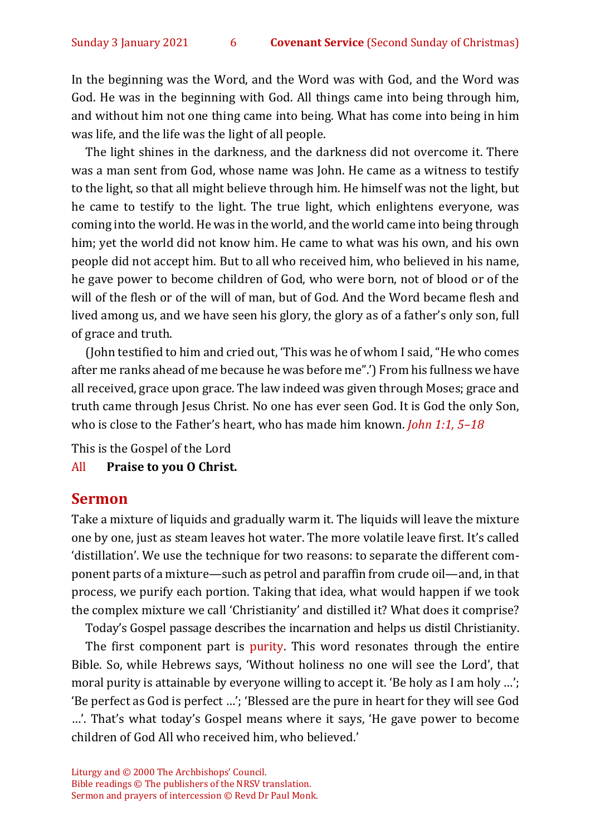In the beginning was the Word, and the Word was with God, and the Word was God. He was in the beginning with God. All things came into being through him, and without him not one thing came into being. What has come into being in him was life, and the life was the light of all people.

The light shines in the darkness, and the darkness did not overcome it. There was a man sent from God, whose name was John. He came as a witness to testify to the light, so that all might believe through him. He himself was not the light, but he came to testify to the light. The true light, which enlightens everyone, was coming into the world. He was in the world, and the world came into being through him; yet the world did not know him. He came to what was his own, and his own people did not accept him. But to all who received him, who believed in his name, he gave power to become children of God, who were born, not of blood or of the will of the flesh or of the will of man, but of God. And the Word became flesh and lived among us, and we have seen his glory, the glory as of a father's only son, full of grace and truth.

(John testified to him and cried out, 'This was he of whom I said, "He who comes after me ranks ahead of me because he was before me".') From his fullness we have all received, grace upon grace. The law indeed was given through Moses; grace and truth came through Jesus Christ. No one has ever seen God. It is God the only Son, who is close to the Father's heart, who has made him known. *John 1:1, 5–18*

This is the Gospel of the Lord

All **Praise to you O Christ.**

### **Sermon**

Take a mixture of liquids and gradually warm it. The liquids will leave the mixture one by one, just as steam leaves hot water. The more volatile leave first. It's called 'distillation'. We use the technique for two reasons: to separate the different component parts of a mixture—such as petrol and paraffin from crude oil—and, in that process, we purify each portion. Taking that idea, what would happen if we took the complex mixture we call 'Christianity' and distilled it? What does it comprise?

Today's Gospel passage describes the incarnation and helps us distil Christianity. The first component part is purity. This word resonates through the entire Bible. So, while Hebrews says, 'Without holiness no one will see the Lord', that moral purity is attainable by everyone willing to accept it. 'Be holy as I am holy …'; 'Be perfect as God is perfect …'; 'Blessed are the pure in heart for they will see God …'. That's what today's Gospel means where it says, 'He gave power to become children of God All who received him, who believed.'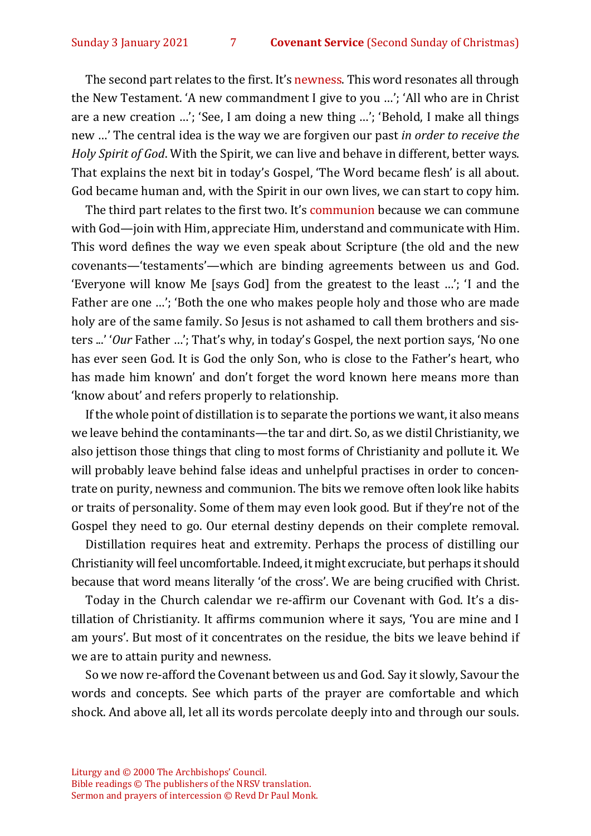The second part relates to the first. It's newness. This word resonates all through the New Testament. 'A new commandment I give to you …'; 'All who are in Christ are a new creation …'; 'See, I am doing a new thing …'; 'Behold, I make all things new …' The central idea is the way we are forgiven our past *in order to receive the Holy Spirit of God*. With the Spirit, we can live and behave in different, better ways. That explains the next bit in today's Gospel, 'The Word became flesh' is all about. God became human and, with the Spirit in our own lives, we can start to copy him.

The third part relates to the first two. It's communion because we can commune with God—join with Him, appreciate Him, understand and communicate with Him. This word defines the way we even speak about Scripture (the old and the new covenants—'testaments'—which are binding agreements between us and God. 'Everyone will know Me [says God] from the greatest to the least …'; 'I and the Father are one …'; 'Both the one who makes people holy and those who are made holy are of the same family. So Jesus is not ashamed to call them brothers and sisters ...' '*Our* Father …'; That's why, in today's Gospel, the next portion says, 'No one has ever seen God. It is God the only Son, who is close to the Father's heart, who has made him known' and don't forget the word known here means more than 'know about' and refers properly to relationship.

If the whole point of distillation is to separate the portions we want, it also means we leave behind the contaminants—the tar and dirt. So, as we distil Christianity, we also jettison those things that cling to most forms of Christianity and pollute it. We will probably leave behind false ideas and unhelpful practises in order to concentrate on purity, newness and communion. The bits we remove often look like habits or traits of personality. Some of them may even look good. But if they're not of the Gospel they need to go. Our eternal destiny depends on their complete removal.

Distillation requires heat and extremity. Perhaps the process of distilling our Christianitywill feel uncomfortable.Indeed, it might excruciate, but perhaps it should because that word means literally 'of the cross'. We are being crucified with Christ.

Today in the Church calendar we re-affirm our Covenant with God. It's a distillation of Christianity. It affirms communion where it says, 'You are mine and I am yours'. But most of it concentrates on the residue, the bits we leave behind if we are to attain purity and newness.

So we now re-afford the Covenant between us and God. Say it slowly, Savour the words and concepts. See which parts of the prayer are comfortable and which shock. And above all, let all its words percolate deeply into and through our souls.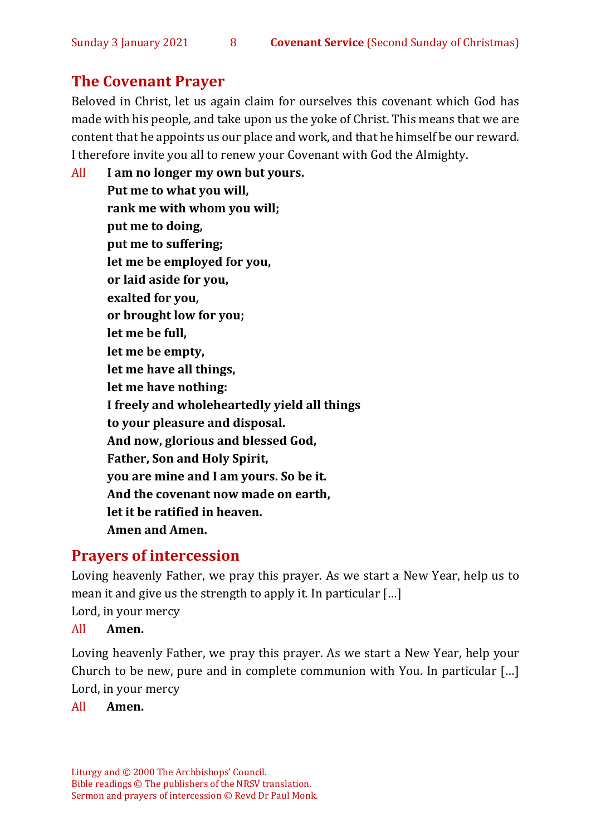# **The Covenant Prayer**

Beloved in Christ, let us again claim for ourselves this covenant which God has made with his people, and take upon us the yoke of Christ. This means that we are content that he appoints us our place and work, and that he himself be our reward. I therefore invite you all to renew your Covenant with God the Almighty.

All **I am no longer my own but yours. Put me to what you will, rank me with whom you will; put me to doing, put me to suffering; let me be employed for you, or laid aside for you, exalted for you, or brought low for you; let me be full, let me be empty, let me have all things, let me have nothing: I freely and wholeheartedly yield all things to your pleasure and disposal. And now, glorious and blessed God, Father, Son and Holy Spirit, you are mine and I am yours. So be it. And the covenant now made on earth, let it be ratified in heaven. Amen and Amen.**

### **Prayers of intercession**

Loving heavenly Father, we pray this prayer. As we start a New Year, help us to mean it and give us the strength to apply it. In particular […] Lord, in your mercy

### All **Amen.**

Loving heavenly Father, we pray this prayer. As we start a New Year, help your Church to be new, pure and in complete communion with You. In particular […] Lord, in your mercy

### All **Amen.**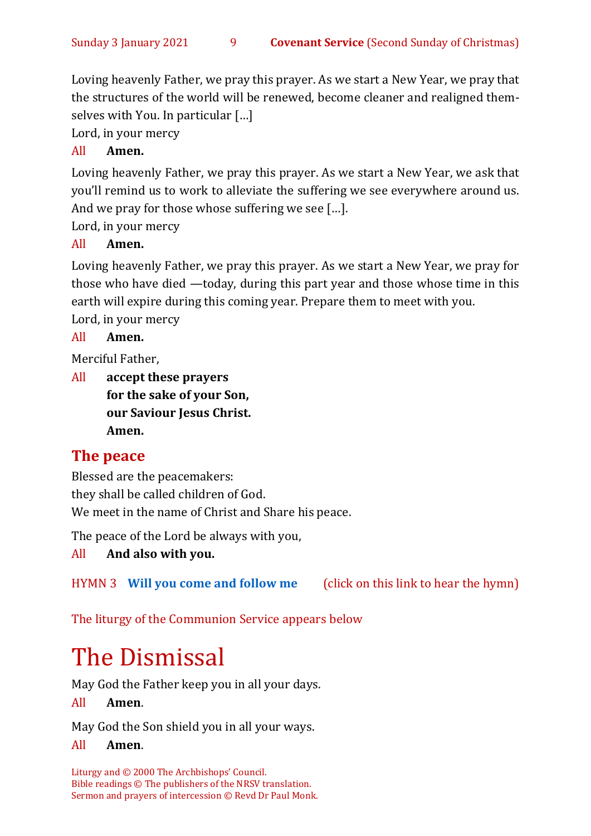Loving heavenly Father, we pray this prayer. As we start a New Year, we pray that the structures of the world will be renewed, become cleaner and realigned themselves with You. In particular […]

Lord, in your mercy

### All **Amen.**

Loving heavenly Father, we pray this prayer. As we start a New Year, we ask that you'll remind us to work to alleviate the suffering we see everywhere around us. And we pray for those whose suffering we see […].

Lord, in your mercy

### All **Amen.**

Loving heavenly Father, we pray this prayer. As we start a New Year, we pray for those who have died —today, during this part year and those whose time in this earth will expire during this coming year. Prepare them to meet with you.

Lord, in your mercy

### All **Amen.**

Merciful Father,

All **accept these prayers for the sake of your Son, our Saviour Jesus Christ. Amen.**

### **The peace**

Blessed are the peacemakers: they shall be called children of God. We meet in the name of Christ and Share his peace.

The peace of the Lord be always with you,

All **And also with you.**

HYMN 3 **Will you come and [follow](https://www.youtube.com/watch?v=zk6IUalJ3sk) me** (click on this link to hear the hymn)

The liturgy of the Communion Service appears below

# The Dismissal

May God the Father keep you in all your days.

### All **Amen**.

May God the Son shield you in all your ways.

### All **Amen**.

Liturgy and © 2000 The Archbishops' Council. Bible readings © The publishers of the NRSV translation. Sermon and prayers of intercession © Revd Dr Paul Monk.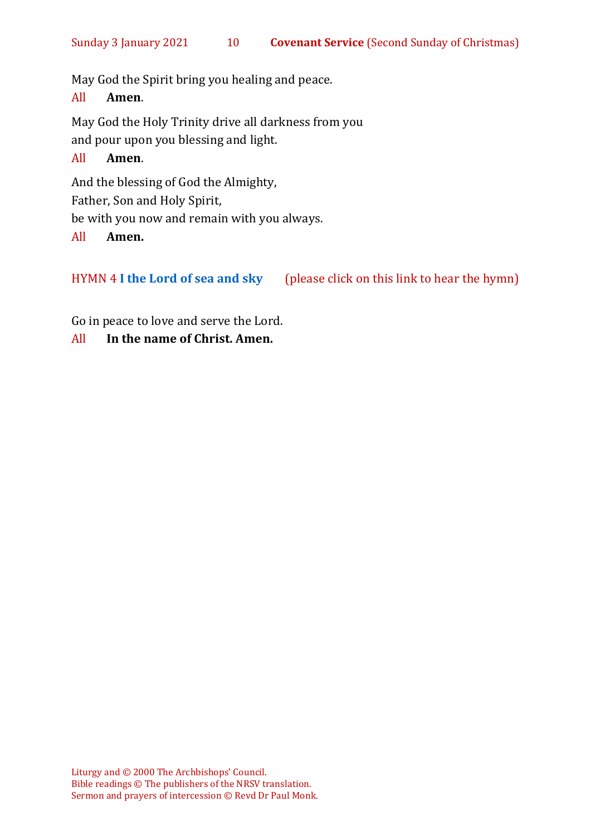May God the Spirit bring you healing and peace.

### All **Amen**.

May God the Holy Trinity drive all darkness from you

and pour upon you blessing and light.

### All **Amen**.

And the blessing of God the Almighty,

Father, Son and Holy Spirit,

be with you now and remain with you always.

### All **Amen.**

### HYMN 4 **I the [Lord](https://youtu.be/EcxOkht8w7c) of sea and sky** (please click on this link to hear the hymn)

Go in peace to love and serve the Lord.

### All **In the name of Christ. Amen.**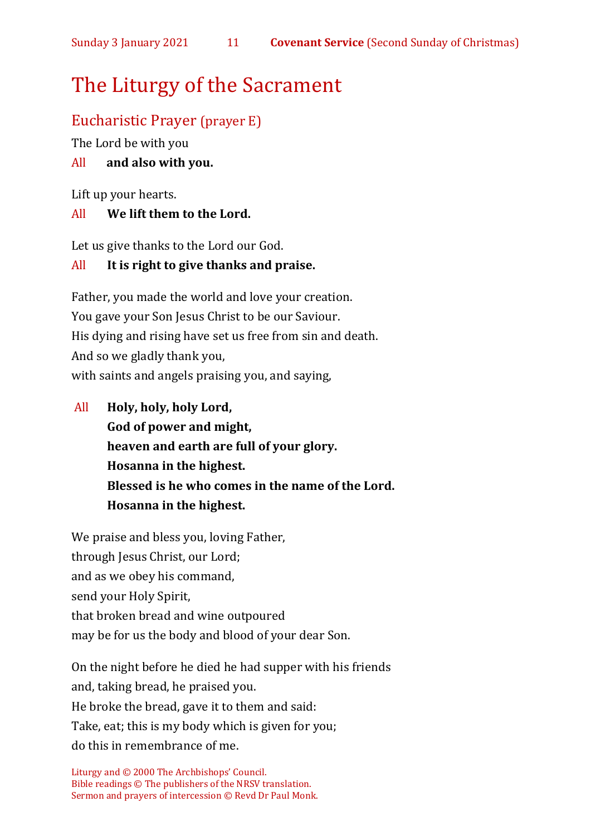# The Liturgy of the Sacrament

### Eucharistic Prayer (prayer E)

The Lord be with you

### All **and also with you.**

Lift up your hearts.

### All **We lift them to the Lord.**

Let us give thanks to the Lord our God.

### All **It is right to give thanks and praise.**

Father, you made the world and love your creation. You gave your Son Jesus Christ to be our Saviour. His dying and rising have set us free from sin and death. And so we gladly thank you, with saints and angels praising you, and saying,

All **Holy, holy, holy Lord, God of power and might, heaven and earth are full of your glory. Hosanna in the highest. Blessed is he who comes in the name of the Lord. Hosanna in the highest.**

We praise and bless you, loving Father, through Jesus Christ, our Lord; and as we obey his command, send your Holy Spirit, that broken bread and wine outpoured may be for us the body and blood of your dear Son.

On the night before he died he had supper with his friends and, taking bread, he praised you. He broke the bread, gave it to them and said: Take, eat; this is my body which is given for you; do this in remembrance of me.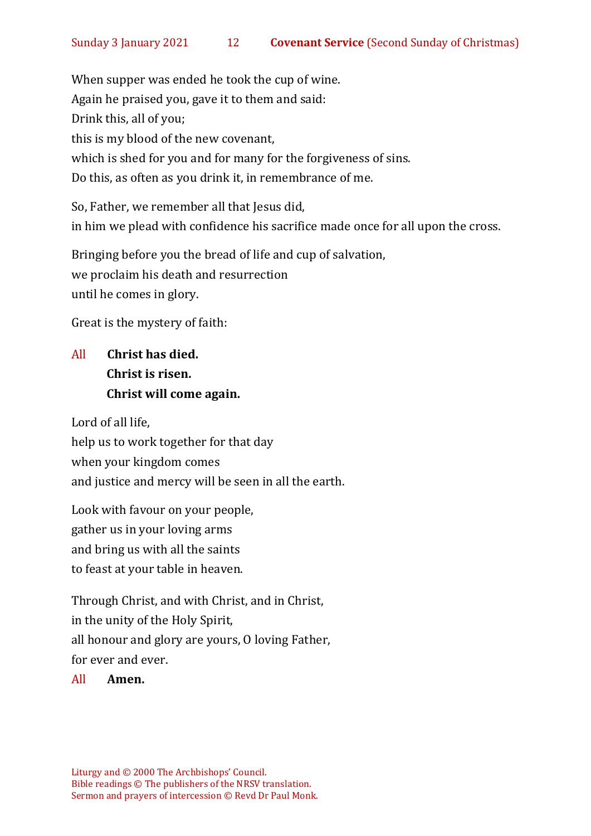When supper was ended he took the cup of wine. Again he praised you, gave it to them and said: Drink this, all of you; this is my blood of the new covenant, which is shed for you and for many for the forgiveness of sins. Do this, as often as you drink it, in remembrance of me.

So, Father, we remember all that Jesus did, in him we plead with confidence his sacrifice made once for all upon the cross.

Bringing before you the bread of life and cup of salvation, we proclaim his death and resurrection until he comes in glory.

Great is the mystery of faith:

# All **Christ has died. Christ is risen. Christ will come again.**

Lord of all life, help us to work together for that day when your kingdom comes and justice and mercy will be seen in all the earth.

Look with favour on your people, gather us in your loving arms and bring us with all the saints to feast at your table in heaven.

Through Christ, and with Christ, and in Christ, in the unity of the Holy Spirit, all honour and glory are yours, O loving Father, for ever and ever.

All **Amen.**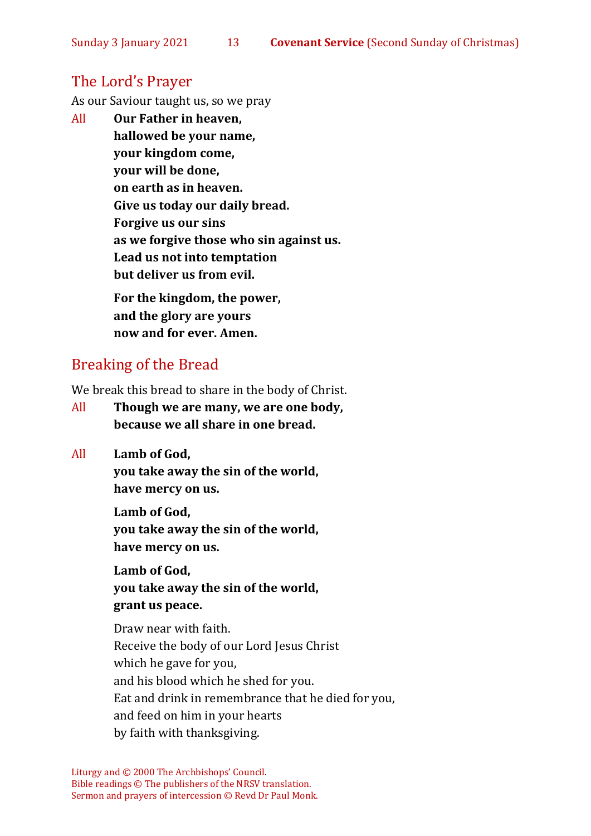### The Lord's Prayer

As our Saviour taught us, so we pray

All **Our Father in heaven, hallowed be your name, your kingdom come, your will be done, on earth as in heaven. Give us today our daily bread. Forgive us our sins as we forgive those who sin against us. Lead us not into temptation but deliver us from evil. For the kingdom, the power,**

**and the glory are yours now and for ever. Amen.**

### Breaking of the Bread

We break this bread to share in the body of Christ.

- All **Though we are many, we are one body, because we all share in one bread.**
- All **Lamb of God,**

**you take away the sin of the world, have mercy on us.**

**Lamb of God, you take away the sin of the world, have mercy on us.**

**Lamb of God, you take away the sin of the world, grant us peace.**

Draw near with faith. Receive the body of our Lord Jesus Christ which he gave for you, and his blood which he shed for you. Eat and drink in remembrance that he died for you, and feed on him in your hearts by faith with thanksgiving.